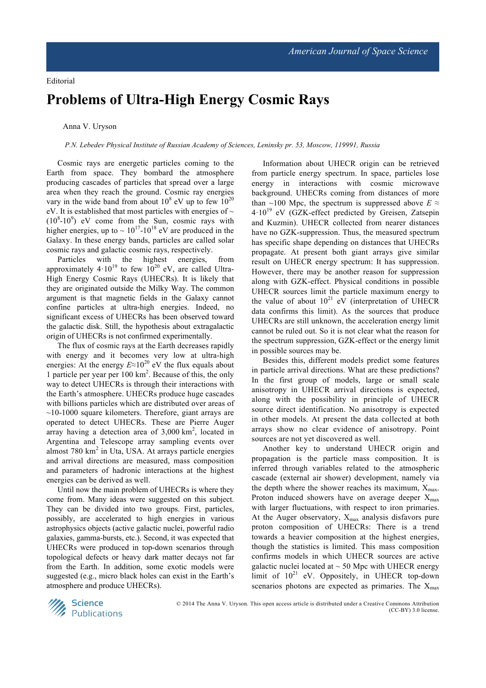## Editorial

## **Problems of Ultra-High Energy Cosmic Rays**

Anna V. Uryson

*P.N. Lebedev Physical Institute of Russian Academy of Sciences, Leninsky pr. 53, Moscow, 119991, Russia*

Cosmic rays are energetic particles coming to the Earth from space. They bombard the atmosphere producing cascades of particles that spread over a large area when they reach the ground. Cosmic ray energies vary in the wide band from about  $10^8$  eV up to few  $10^{20}$ eV. It is established that most particles with energies of  $\sim$  $(10<sup>8</sup>-10<sup>9</sup>)$  eV come from the Sun, cosmic rays with higher energies, up to  $\sim 10^{17}$ -10<sup>18</sup> eV are produced in the Galaxy. In these energy bands, particles are called solar cosmic rays and galactic cosmic rays, respectively.

Particles with the highest energies, from approximately  $4.10^{19}$  to few  $10^{20}$  eV, are called Ultra-High Energy Cosmic Rays (UHECRs). It is likely that they are originated outside the Milky Way. The common argument is that magnetic fields in the Galaxy cannot confine particles at ultra-high energies. Indeed, no significant excess of UHECRs has been observed toward the galactic disk. Still, the hypothesis about extragalactic origin of UHECRs is not confirmed experimentally.

The flux of cosmic rays at the Earth decreases rapidly with energy and it becomes very low at ultra-high energies: At the energy  $E \approx 10^{20}$  eV the flux equals about 1 particle per year per 100 km<sup>2</sup> . Because of this, the only way to detect UHECRs is through their interactions with the Earth's atmosphere. UHECRs produce huge cascades with billions particles which are distributed over areas of ~10-1000 square kilometers. Therefore, giant arrays are operated to detect UHECRs. These are Pierre Auger array having a detection area of  $3,000 \text{ km}^2$ , located in Argentina and Telescope array sampling events over almost  $780 \text{ km}^2$  in Uta, USA. At arrays particle energies and arrival directions are measured, mass composition and parameters of hadronic interactions at the highest energies can be derived as well.

Until now the main problem of UHECRs is where they come from. Many ideas were suggested on this subject. They can be divided into two groups. First, particles, possibly, are accelerated to high energies in various astrophysics objects (active galactic nuclei, powerful radio galaxies, gamma-bursts, etc.). Second, it was expected that UHECRs were produced in top-down scenarios through topological defects or heavy dark matter decays not far from the Earth. In addition, some exotic models were suggested (e.g., micro black holes can exist in the Earth's atmosphere and produce UHECRs).

Information about UHECR origin can be retrieved from particle energy spectrum. In space, particles lose energy in interactions with cosmic microwave background. UHECRs coming from distances of more than ~100 Mpc, the spectrum is suppressed above  $E \approx$  $4.10^{19}$  eV (GZK-effect predicted by Greisen, Zatsepin and Kuzmin). UHECR collected from nearer distances have no GZK-suppression. Thus, the measured spectrum has specific shape depending on distances that UHECRs propagate. At present both giant arrays give similar result on UHECR energy spectrum: It has suppression. However, there may be another reason for suppression along with GZK-effect. Physical conditions in possible UHECR sources limit the particle maximum energy to the value of about  $10^{21}$  eV (interpretation of UHECR data confirms this limit). As the sources that produce UHECRs are still unknown, the acceleration energy limit cannot be ruled out. So it is not clear what the reason for the spectrum suppression, GZK-effect or the energy limit in possible sources may be.

Besides this, different models predict some features in particle arrival directions. What are these predictions? In the first group of models, large or small scale anisotropy in UHECR arrival directions is expected, along with the possibility in principle of UHECR source direct identification. No anisotropy is expected in other models. At present the data collected at both arrays show no clear evidence of anisotropy. Point sources are not yet discovered as well.

Another key to understand UHECR origin and propagation is the particle mass composition. It is inferred through variables related to the atmospheric cascade (external air shower) development, namely via the depth where the shower reaches its maximum,  $X_{\text{max}}$ . Proton induced showers have on average deeper  $X_{\text{max}}$ with larger fluctuations, with respect to iron primaries. At the Auger observatory,  $X_{\text{max}}$  analysis disfavors pure proton composition of UHECRs: There is a trend towards a heavier composition at the highest energies, though the statistics is limited. This mass composition confirms models in which UHECR sources are active galactic nuclei located at  $\sim$  50 Mpc with UHECR energy limit of  $10^{21}$  eV. Oppositely, in UHECR top-down scenarios photons are expected as primaries. The  $X_{\text{max}}$ 



© 2014 The Anna V. Uryson. This open access article is distributed under a Creative Commons Attribution (CC-BY) 3.0 license.